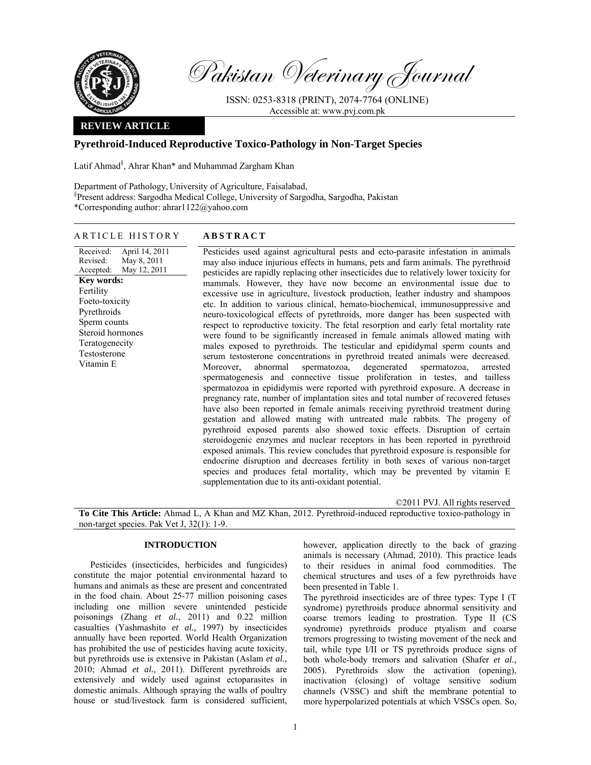

Pakistan Veterinary Journal

ISSN: 0253-8318 (PRINT), 2074-7764 (ONLINE) Accessible at: www.pvj.com.pk

## **REVIEW ARTICLE**

# **Pyrethroid-Induced Reproductive Toxico-Pathology in Non-Target Species**

Latif Ahmad<sup>§</sup>, Ahrar Khan\* and Muhammad Zargham Khan

Department of Pathology, University of Agriculture, Faisalabad, § Present address: Sargodha Medical College, University of Sargodha, Sargodha, Pakistan \*Corresponding author: ahrar1122@yahoo.com

## ARTICLE HISTORY **ABSTRACT**

Received: Revised: Accepted: April 14, 2011 May 8, 2011 May 12, 2011 **Key words:**  Fertility Foeto-toxicity Pyrethroids Sperm counts Steroid hormones Teratogenecity Testosterone Vitamin E

Pesticides used against agricultural pests and ecto-parasite infestation in animals may also induce injurious effects in humans, pets and farm animals. The pyrethroid pesticides are rapidly replacing other insecticides due to relatively lower toxicity for mammals. However, they have now become an environmental issue due to excessive use in agriculture, livestock production, leather industry and shampoos etc. In addition to various clinical, hemato-biochemical, immunosuppressive and neuro-toxicological effects of pyrethroids, more danger has been suspected with respect to reproductive toxicity. The fetal resorption and early fetal mortality rate were found to be significantly increased in female animals allowed mating with males exposed to pyrethroids. The testicular and epididymal sperm counts and serum testosterone concentrations in pyrethroid treated animals were decreased. Moreover, abnormal spermatozoa, degenerated spermatozoa, arrested spermatogenesis and connective tissue proliferation in testes, and tailless spermatozoa in epididymis were reported with pyrethroid exposure. A decrease in pregnancy rate, number of implantation sites and total number of recovered fetuses have also been reported in female animals receiving pyrethroid treatment during gestation and allowed mating with untreated male rabbits. The progeny of pyrethroid exposed parents also showed toxic effects. Disruption of certain steroidogenic enzymes and nuclear receptors in has been reported in pyrethroid exposed animals. This review concludes that pyrethroid exposure is responsible for endocrine disruption and decreases fertility in both sexes of various non-target species and produces fetal mortality, which may be prevented by vitamin E supplementation due to its anti-oxidant potential.

©2011 PVJ. All rights reserved

**To Cite This Article:** Ahmad L, A Khan and MZ Khan, 2012. Pyrethroid-induced reproductive toxico-pathology in non-target species. Pak Vet J, 32(1): 1-9.

### **INTRODUCTION**

 Pesticides (insecticides, herbicides and fungicides) constitute the major potential environmental hazard to humans and animals as these are present and concentrated in the food chain. About 25-77 million poisoning cases including one million severe unintended pesticide poisonings (Zhang *et al.*, 2011) and 0.22 million casualties (Yashmashito *et al.,* 1997) by insecticides annually have been reported. World Health Organization has prohibited the use of pesticides having acute toxicity, but pyrethroids use is extensive in Pakistan (Aslam *et al.,*  2010; Ahmad *et al.,* 2011). Different pyrethroids are extensively and widely used against ectoparasites in domestic animals. Although spraying the walls of poultry house or stud/livestock farm is considered sufficient,

however, application directly to the back of grazing animals is necessary (Ahmad, 2010). This practice leads to their residues in animal food commodities. The chemical structures and uses of a few pyrethroids have been presented in Table 1.

The pyrethroid insecticides are of three types: Type I (T syndrome) pyrethroids produce abnormal sensitivity and coarse tremors leading to prostration. Type II (CS syndrome) pyrethroids produce ptyalism and coarse tremors progressing to twisting movement of the neck and tail, while type I/II or TS pyrethroids produce signs of both whole-body tremors and salivation (Shafer *et al.,*  2005). Pyrethroids slow the activation (opening), inactivation (closing) of voltage sensitive sodium channels (VSSC) and shift the membrane potential to more hyperpolarized potentials at which VSSCs open. So,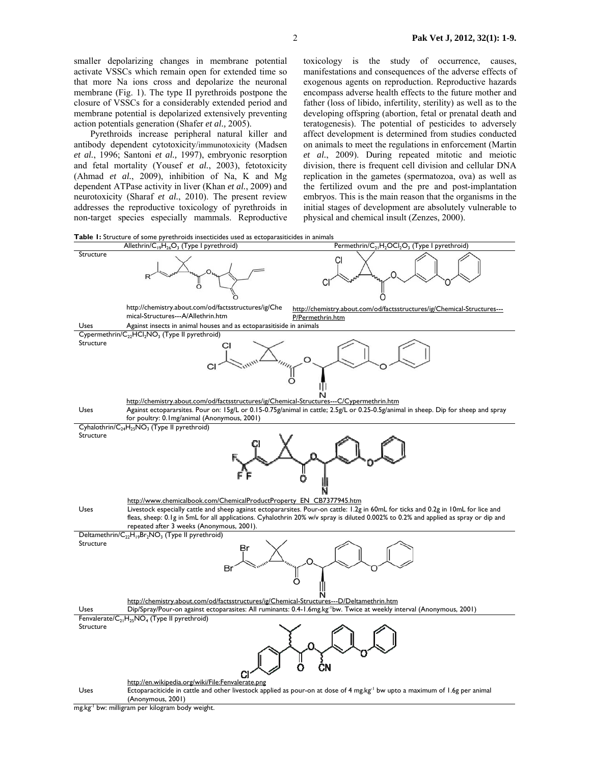smaller depolarizing changes in membrane potential activate VSSCs which remain open for extended time so that more Na ions cross and depolarize the neuronal membrane (Fig. 1). The type II pyrethroids postpone the closure of VSSCs for a considerably extended period and membrane potential is depolarized extensively preventing action potentials generation (Shafer *et al.,* 2005).

 Pyrethroids increase peripheral natural killer and antibody dependent cytotoxicity/immunotoxicity (Madsen *et al.*, 1996; Santoni *et al.,* 1997), embryonic resorption and fetal mortality (Yousef *et al.*, 2003), fetotoxicity (Ahmad *et al.*, 2009), inhibition of Na, K and Mg dependent ATPase activity in liver (Khan *et al.*, 2009) and neurotoxicity (Sharaf *et al.*, 2010). The present review addresses the reproductive toxicology of pyrethroids in non-target species especially mammals. Reproductive toxicology is the study of occurrence, causes, manifestations and consequences of the adverse effects of exogenous agents on reproduction. Reproductive hazards encompass adverse health effects to the future mother and father (loss of libido, infertility, sterility) as well as to the developing offspring (abortion, fetal or prenatal death and teratogenesis). The potential of pesticides to adversely affect development is determined from studies conducted on animals to meet the regulations in enforcement (Martin *et al.*, 2009). During repeated mitotic and meiotic division, there is frequent cell division and cellular DNA replication in the gametes (spermatozoa, ova) as well as the fertilized ovum and the pre and post-implantation embryos. This is the main reason that the organisms in the initial stages of development are absolutely vulnerable to physical and chemical insult (Zenzes, 2000).





mg.kg-1 bw: milligram per kilogram body weight.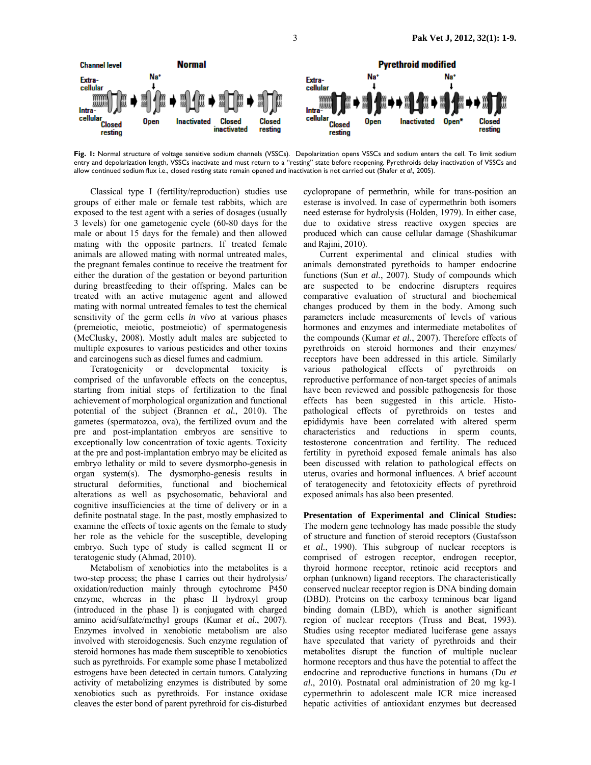

Fig. I: Normal structure of voltage sensitive sodium channels (VSSCs). Depolarization opens VSSCs and sodium enters the cell. To limit sodium entry and depolarization length, VSSCs inactivate and must return to a "resting" state before reopening. Pyrethroids delay inactivation of VSSCs and allow continued sodium flux i.e., closed resting state remain opened and inactivation is not carried out (Shafer *et al.,* 2005).

 Classical type I (fertility/reproduction) studies use groups of either male or female test rabbits, which are exposed to the test agent with a series of dosages (usually 3 levels) for one gametogenic cycle (60-80 days for the male or about 15 days for the female) and then allowed mating with the opposite partners. If treated female animals are allowed mating with normal untreated males, the pregnant females continue to receive the treatment for either the duration of the gestation or beyond parturition during breastfeeding to their offspring. Males can be treated with an active mutagenic agent and allowed mating with normal untreated females to test the chemical sensitivity of the germ cells *in vivo* at various phases (premeiotic, meiotic, postmeiotic) of spermatogenesis (McClusky, 2008). Mostly adult males are subjected to multiple exposures to various pesticides and other toxins and carcinogens such as diesel fumes and cadmium.

Teratogenicity or developmental toxicity comprised of the unfavorable effects on the conceptus, starting from initial steps of fertilization to the final achievement of morphological organization and functional potential of the subject (Brannen *et al.*, 2010). The gametes (spermatozoa, ova), the fertilized ovum and the pre and post-implantation embryos are sensitive to exceptionally low concentration of toxic agents. Toxicity at the pre and post-implantation embryo may be elicited as embryo lethality or mild to severe dysmorpho-genesis in organ system(s). The dysmorpho-genesis results in structural deformities, functional and biochemical alterations as well as psychosomatic, behavioral and cognitive insufficiencies at the time of delivery or in a definite postnatal stage. In the past, mostly emphasized to examine the effects of toxic agents on the female to study her role as the vehicle for the susceptible, developing embryo. Such type of study is called segment II or teratogenic study (Ahmad, 2010).

 Metabolism of xenobiotics into the metabolites is a two-step process; the phase I carries out their hydrolysis/ oxidation/reduction mainly through cytochrome P450 enzyme, whereas in the phase II hydroxyl group (introduced in the phase I) is conjugated with charged amino acid/sulfate/methyl groups (Kumar *et al.*, 2007). Enzymes involved in xenobiotic metabolism are also involved with steroidogenesis. Such enzyme regulation of steroid hormones has made them susceptible to xenobiotics such as pyrethroids. For example some phase I metabolized estrogens have been detected in certain tumors. Catalyzing activity of metabolizing enzymes is distributed by some xenobiotics such as pyrethroids. For instance oxidase cleaves the ester bond of parent pyrethroid for cis-disturbed

cyclopropane of permethrin, while for trans-position an esterase is involved. In case of cypermethrin both isomers need esterase for hydrolysis (Holden, 1979). In either case, due to oxidative stress reactive oxygen species are produced which can cause cellular damage (Shashikumar and Rajini, 2010).

 Current experimental and clinical studies with animals demonstrated pyrethoids to hamper endocrine functions (Sun *et al.*, 2007). Study of compounds which are suspected to be endocrine disrupters requires comparative evaluation of structural and biochemical changes produced by them in the body. Among such parameters include measurements of levels of various hormones and enzymes and intermediate metabolites of the compounds (Kumar *et al.*, 2007). Therefore effects of pyrethroids on steroid hormones and their enzymes/ receptors have been addressed in this article. Similarly various pathological effects of pyrethroids on reproductive performance of non-target species of animals have been reviewed and possible pathogenesis for those effects has been suggested in this article. Histopathological effects of pyrethroids on testes and epididymis have been correlated with altered sperm characteristics and reductions in sperm counts, testosterone concentration and fertility. The reduced fertility in pyrethoid exposed female animals has also been discussed with relation to pathological effects on uterus, ovaries and hormonal influences. A brief account of teratogenecity and fetotoxicity effects of pyrethroid exposed animals has also been presented.

**Presentation of Experimental and Clinical Studies:**  The modern gene technology has made possible the study of structure and function of steroid receptors (Gustafsson *et al.*, 1990). This subgroup of nuclear receptors is comprised of estrogen receptor, endrogen receptor, thyroid hormone receptor, retinoic acid receptors and orphan (unknown) ligand receptors. The characteristically conserved nuclear receptor region is DNA binding domain (DBD). Proteins on the carboxy terminous bear ligand binding domain (LBD), which is another significant region of nuclear receptors (Truss and Beat, 1993). Studies using receptor mediated luciferase gene assays have speculated that variety of pyrethroids and their metabolites disrupt the function of multiple nuclear hormone receptors and thus have the potential to affect the endocrine and reproductive functions in humans (Du *et al.*, 2010). Postnatal oral administration of 20 mg kg-1 cypermethrin to adolescent male ICR mice increased hepatic activities of antioxidant enzymes but decreased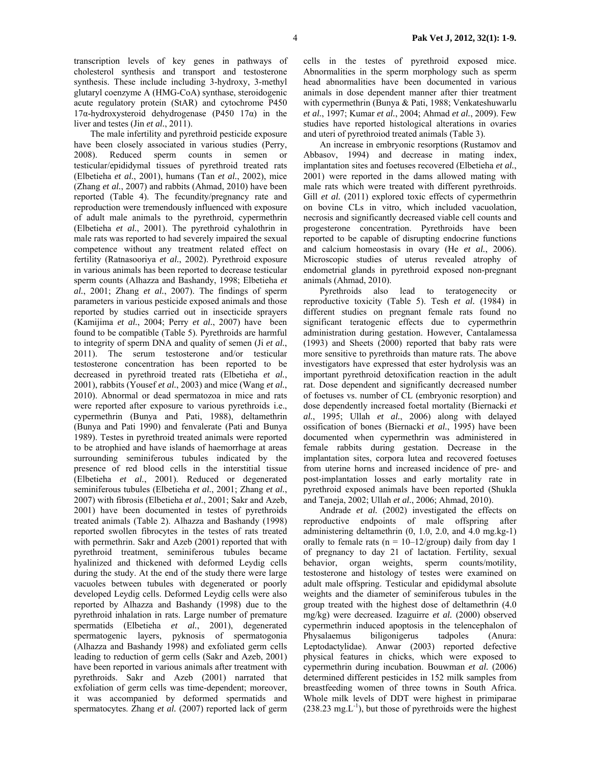transcription levels of key genes in pathways of cholesterol synthesis and transport and testosterone synthesis. These include including 3-hydroxy, 3-methyl glutaryl coenzyme A (HMG-CoA) synthase, steroidogenic acute regulatory protein (StAR) and cytochrome P450 17α-hydroxysteroid dehydrogenase (P450 17α) in the liver and testes (Jin *et al.*, 2011).

 The male infertility and pyrethroid pesticide exposure have been closely associated in various studies (Perry, 2008). Reduced sperm counts in semen or testicular/epididymal tissues of pyrethroid treated rats (Elbetieha *et al.*, 2001), humans (Tan *et al.*, 2002), mice (Zhang *et al.*, 2007) and rabbits (Ahmad, 2010) have been reported (Table 4). The fecundity/pregnancy rate and reproduction were tremendously influenced with exposure of adult male animals to the pyrethroid, cypermethrin (Elbetieha *et al.*, 2001). The pyrethroid cyhalothrin in male rats was reported to had severely impaired the sexual competence without any treatment related effect on fertility (Ratnasooriya *et al.*, 2002). Pyrethroid exposure in various animals has been reported to decrease testicular sperm counts (Alhazza and Bashandy, 1998; Elbetieha *et al.*, 2001; Zhang *et al.*, 2007). The findings of sperm parameters in various pesticide exposed animals and those reported by studies carried out in insecticide sprayers (Kamijima *et al.*, 2004; Perry *et al.*, 2007) have been found to be compatible (Table 5). Pyrethroids are harmful to integrity of sperm DNA and quality of semen (Ji *et al.*, 2011). The serum testosterone and/or testicular testosterone concentration has been reported to be decreased in pyrethroid treated rats (Elbetieha *et al.*, 2001), rabbits (Yousef *et al.*, 2003) and mice (Wang *et al.*, 2010). Abnormal or dead spermatozoa in mice and rats were reported after exposure to various pyrethroids i.e., cypermethrin (Bunya and Pati, 1988), deltamethrin (Bunya and Pati 1990) and fenvalerate (Pati and Bunya 1989). Testes in pyrethroid treated animals were reported to be atrophied and have islands of haemorrhage at areas surrounding seminiferous tubules indicated by the presence of red blood cells in the interstitial tissue (Elbetieha *et al.*, 2001). Reduced or degenerated seminiferous tubules (Elbetieha *et al.*, 2001; Zhang *et al.*, 2007) with fibrosis (Elbetieha *et al.*, 2001; Sakr and Azeb, 2001) have been documented in testes of pyrethroids treated animals (Table 2). Alhazza and Bashandy (1998) reported swollen fibrocytes in the testes of rats treated with permethrin. Sakr and Azeb (2001) reported that with pyrethroid treatment, seminiferous tubules became hyalinized and thickened with deformed Leydig cells during the study. At the end of the study there were large vacuoles between tubules with degenerated or poorly developed Leydig cells. Deformed Leydig cells were also reported by Alhazza and Bashandy (1998) due to the pyrethroid inhalation in rats. Large number of premature spermatids (Elbetieha *et al.*, 2001), degenerated spermatogenic layers, pyknosis of spermatogonia (Alhazza and Bashandy 1998) and exfoliated germ cells leading to reduction of germ cells (Sakr and Azeb, 2001) have been reported in various animals after treatment with pyrethroids. Sakr and Azeb (2001) narrated that exfoliation of germ cells was time-dependent; moreover, it was accompanied by deformed spermatids and spermatocytes. Zhang *et al.* (2007) reported lack of germ

cells in the testes of pyrethroid exposed mice. Abnormalities in the sperm morphology such as sperm head abnormalities have been documented in various animals in dose dependent manner after thier treatment with cypermethrin (Bunya & Pati, 1988; Venkateshuwarlu *et al.*, 1997; Kumar *et al.*, 2004; Ahmad *et al.*, 2009). Few studies have reported histological alterations in ovaries and uteri of pyrethroiod treated animals (Table 3).

 An increase in embryonic resorptions (Rustamov and Abbasov, 1994) and decrease in mating index, implantation sites and foetuses recovered (Elbetieha *et al.*, 2001) were reported in the dams allowed mating with male rats which were treated with different pyrethroids. Gill *et al.* (2011) explored toxic effects of cypermethrin on bovine CLs in vitro, which included vacuolation, necrosis and significantly decreased viable cell counts and progesterone concentration. Pyrethroids have been reported to be capable of disrupting endocrine functions and calcium homeostasis in ovary (He *et al.*, 2006). Microscopic studies of uterus revealed atrophy of endometrial glands in pyrethroid exposed non-pregnant animals (Ahmad, 2010).

 Pyrethroids also lead to teratogenecity or reproductive toxicity (Table 5). Tesh *et al.* (1984) in different studies on pregnant female rats found no significant teratogenic effects due to cypermethrin administration during gestation. However, Cantalamessa (1993) and Sheets (2000) reported that baby rats were more sensitive to pyrethroids than mature rats. The above investigators have expressed that ester hydrolysis was an important pyrethroid detoxification reaction in the adult rat. Dose dependent and significantly decreased number of foetuses vs. number of CL (embryonic resorption) and dose dependently increased foetal mortality (Biernacki *et al.*, 1995; Ullah *et al.*, 2006) along with delayed ossification of bones (Biernacki *et al.*, 1995) have been documented when cypermethrin was administered in female rabbits during gestation. Decrease in the implantation sites, corpora lutea and recovered foetuses from uterine horns and increased incidence of pre- and post-implantation losses and early mortality rate in pyrethroid exposed animals have been reported (Shukla and Taneja, 2002; Ullah *et al.*, 2006; Ahmad, 2010).

Andrade *et al.* (2002) investigated the effects on reproductive endpoints of male offspring after administering deltamethrin (0, 1.0, 2.0, and 4.0 mg.kg-1) orally to female rats ( $n = 10-12$ /group) daily from day 1 of pregnancy to day 21 of lactation. Fertility, sexual behavior, organ weights, sperm counts/motility, testosterone and histology of testes were examined on adult male offspring. Testicular and epididymal absolute weights and the diameter of seminiferous tubules in the group treated with the highest dose of deltamethrin (4.0 mg/kg) were decreased. Izaguirre *et al.* (2000) observed cypermethrin induced apoptosis in the telencephalon of Physalaemus biligonigerus tadpoles (Anura: Leptodactylidae). Anwar (2003) reported defective physical features in chicks, which were exposed to cypermethrin during incubation. Bouwman *et al.* (2006) determined different pesticides in 152 milk samples from breastfeeding women of three towns in South Africa. Whole milk levels of DDT were highest in primiparae  $(238.23 \text{ mg} \cdot \text{L}^{-1})$ , but those of pyrethroids were the highest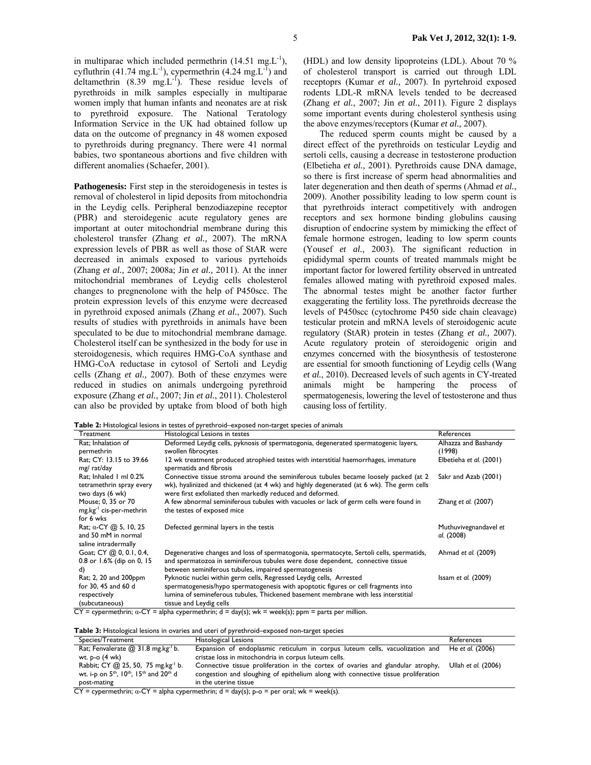in multiparae which included permethrin  $(14.51 \text{ mg} \cdot \text{L}^{-1})$ , cyfluthrin (41.74 mg.L<sup>-1</sup>), cypermethrin (4.24 mg.L<sup>-1</sup>) and deltamethrin  $(8.39 \text{ mg.L}^{-1})$ . These residue levels of pyrethroids in milk samples especially in multiparae women imply that human infants and neonates are at risk to pyrethroid exposure. The National Teratology Information Service in the UK had obtained follow up data on the outcome of pregnancy in 48 women exposed to pyrethroids during pregnancy. There were 41 normal babies, two spontaneous abortions and five children with different anomalies (Schaefer, 2001).

**Pathogenesis:** First step in the steroidogenesis in testes is removal of cholesterol in lipid deposits from mitochondria in the Leydig cells. Peripheral benzodiazepine receptor (PBR) and steroidegenic acute regulatory genes are important at outer mitochondrial membrane during this cholesterol transfer (Zhang *et al.,* 2007). The mRNA expression levels of PBR as well as those of StAR were decreased in animals exposed to various pyrtehoids (Zhang *et al.,* 2007; 2008a; Jin *et al.,* 2011). At the inner mitochondrial membranes of Leydig cells cholesterol changes to pregnenolone with the help of P450scc. The protein expression levels of this enzyme were decreased in pyrethroid exposed animals (Zhang *et al.*, 2007). Such results of studies with pyrethroids in animals have been speculated to be due to mitochondrial membrane damage. Cholesterol itself can be synthesized in the body for use in steroidogenesis, which requires HMG-CoA synthase and HMG-CoA reductase in cytosol of Sertoli and Leydig cells (Zhang *et al.,* 2007). Both of these enzymes were reduced in studies on animals undergoing pyrethroid exposure (Zhang *et al.*, 2007; Jin *et al.*, 2011). Cholesterol can also be provided by uptake from blood of both high

(HDL) and low density lipoproteins (LDL). About 70 % of cholesterol transport is carried out through LDL receptoprs (Kumar *et al.,* 2007). In pyrtehroid exposed rodents LDL-R mRNA levels tended to be decreased (Zhang *et al.*, 2007; Jin *et al.*, 2011). Figure 2 displays some important events during cholesterol synthesis using the above enzymes/receptors (Kumar *et al.,* 2007).

 The reduced sperm counts might be caused by a direct effect of the pyrethroids on testicular Leydig and sertoli cells, causing a decrease in testosterone production (Elbetieha *et al.,* 2001). Pyrethroids cause DNA damage, so there is first increase of sperm head abnormalities and later degeneration and then death of sperms (Ahmad *et al.*, 2009). Another possibility leading to low sperm count is that pyrethroids interact competitively with androgen receptors and sex hormone binding globulins causing disruption of endocrine system by mimicking the effect of female hormone estrogen, leading to low sperm counts (Yousef *et al.,* 2003). The significant reduction in epididymal sperm counts of treated mammals might be important factor for lowered fertility observed in untreated females allowed mating with pyrethroid exposed males. The abnormal testes might be another factor further exaggerating the fertility loss. The pyrethroids decrease the levels of P450scc (cytochrome P450 side chain cleavage) testicular protein and mRNA levels of steroidogenic acute regulatory (StAR) protein in testes (Zhang *et al.,* 2007). Acute regulatory protein of steroidogenic origin and enzymes concerned with the biosynthesis of testosterone are essential for smooth functioning of Leydig cells (Wang *et al.*, 2010). Decreased levels of such agents in CY-treated animals might be hampering the process of spermatogenesis, lowering the level of testosterone and thus causing loss of fertility.

**Table 2:** Histological lesions in testes of pyrethroid–exposed non-target species of animals

| Treatment                                                                                                                                   | Histological Lesions in testes                                                                                                                                                                                                                                                                                     | References                          |
|---------------------------------------------------------------------------------------------------------------------------------------------|--------------------------------------------------------------------------------------------------------------------------------------------------------------------------------------------------------------------------------------------------------------------------------------------------------------------|-------------------------------------|
| Rat; Inhalation of<br>permethrin                                                                                                            | Deformed Leydig cells, pyknosis of spermatogonia, degenerated spermatogenic layers,<br>swollen fibrocytes                                                                                                                                                                                                          | Alhazza and Bashandy<br>(1998)      |
| Rat; CY: 13.15 to 39.66<br>mg/rat/day                                                                                                       | 12 wk treatment produced atrophied testes with interstitial haemorrhages, immature<br>spermatids and fibrosis                                                                                                                                                                                                      | Elbetieha et al. (2001)             |
| Rat; Inhaled 1 ml 0.2%<br>tetramethrin spray every<br>two days (6 wk)                                                                       | Connective tissue stroma around the seminiferous tubules became loosely packed (at 2)<br>wk), hyalinized and thickened (at 4 wk) and highly degenerated (at 6 wk). The germ cells<br>were first exfoliated then markedly reduced and deformed.                                                                     | Sakr and Azab (2001)                |
| Mouse; 0, 35 or 70<br>mg.kg <sup>-1</sup> cis-per-methrin<br>for 6 wks                                                                      | A few abnormal seminiferous tubules with vacuoles or lack of germ cells were found in<br>the testes of exposed mice                                                                                                                                                                                                | Zhang et al. (2007)                 |
| Rat; $\alpha$ -CY $\omega$ 5, 10, 25<br>and 50 mM in normal<br>saline intradermally                                                         | Defected germinal layers in the testis                                                                                                                                                                                                                                                                             | Muthuvivegnandavel et<br>al. (2008) |
| Goat; CY @ 0, 0.1, 0.4,<br>0.8 or 1.6% (dip on 0, 15<br>d)                                                                                  | Degenerative changes and loss of spermatogonia, spermatocyte, Sertoli cells, spermatids,<br>and spermatozoa in seminiferous tubules were dose dependent, connective tissue<br>between seminiferous tubules, impaired spermatogenesis                                                                               | Ahmad et al. (2009)                 |
| Rat; 2, 20 and 200ppm<br>for 30, 45 and 60 d<br>respectively<br>(subcutaneous)<br>$\overline{\phantom{a}}$<br>$\overline{\phantom{a}}$<br>. | Pyknotic nuclei within germ cells, Regressed Leydig cells, Arrested<br>spermatogenesis/hypo spermatogenesis with apoptotic figures or cell fragments into<br>lumina of semineferous tubules, Thickened basement membrane with less interstitial<br>tissue and Leydig cells<br>.<br>$\overline{\cdots}$<br>$\cdots$ | Issam et al. (2009)                 |

CY = cypermethrin;  $\alpha$ -CY = alpha cypermethrin;  $d = day(s)$ ; wk = week(s); ppm = parts per million.

**Table 3:** Histological lesions in ovaries and uteri of pyrethroid–exposed non-target species

| Species/Treatment                                           | Histological Lesions                                                                          | References          |
|-------------------------------------------------------------|-----------------------------------------------------------------------------------------------|---------------------|
| Rat; Fenvalerate $@31.8$ mg.kg <sup>-1</sup> b.             | Expansion of endoplasmic reticulum in corpus luteum cells, vacuolization and He et al. (2006) |                     |
| wt. p-o (4 wk)                                              | cristae loss in mitochondria in corpus luteum cells.                                          |                     |
| Rabbit; CY $(2)$ 25, 50, 75 mg.kg <sup>-1</sup> b.          | Connective tissue proliferation in the cortex of ovaries and glandular atrophy,               | Ullah et al. (2006) |
| wt. i-p on $5^{th}$ , $10^{th}$ , $15^{th}$ and $20^{th}$ d | congestion and sloughing of epithelium along with connective tissue proliferation             |                     |
| post-mating                                                 | in the uterine tissue                                                                         |                     |

 $\overline{CY}$  = cypermethrin;  $\alpha$ -CY = alpha cypermethrin; d = day(s); p-o = per oral; wk = week(s).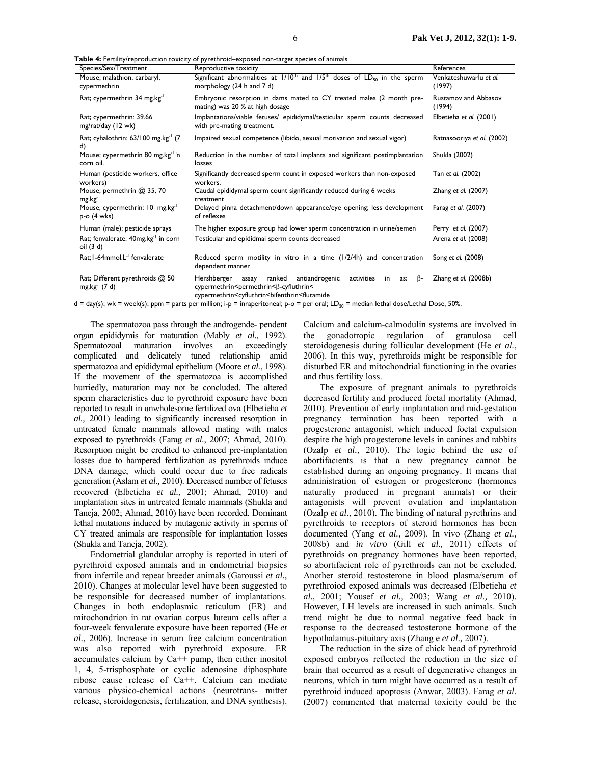**Table 4:** Fertility/reproduction toxicity of pyrethroid–exposed non-target species of animals

| Species/Sex/Treatment                                        | Reproductive toxicity                                                                                                                                                                                                                                                                                                                                                                                               | References                            |
|--------------------------------------------------------------|---------------------------------------------------------------------------------------------------------------------------------------------------------------------------------------------------------------------------------------------------------------------------------------------------------------------------------------------------------------------------------------------------------------------|---------------------------------------|
| Mouse; malathion, carbaryl,<br>cypermethrin                  | Significant abnormalities at $1/10^{th}$ and $1/5^{th}$ doses of $LD_{50}$ in the sperm<br>morphology (24 h and 7 d)                                                                                                                                                                                                                                                                                                | Venkateshuwarlu et al.<br>(1997)      |
| Rat; cypermethrin 34 mg.kg <sup>-1</sup>                     | Embryonic resorption in dams mated to CY treated males (2 month pre-<br>mating) was 20 % at high dosage                                                                                                                                                                                                                                                                                                             | <b>Rustamov and Abbasov</b><br>(1994) |
| Rat; cypermethrin: 39.66<br>mg/rat/day (12 wk)               | Implantations/viable fetuses/ epididymal/testicular sperm counts decreased<br>with pre-mating treatment.                                                                                                                                                                                                                                                                                                            | Elbetieha et al. (2001)               |
| Rat; cyhalothrin: $63/100$ mg.kg <sup>-1</sup> (7)<br>d)     | Impaired sexual competence (libido, sexual motivation and sexual vigor)                                                                                                                                                                                                                                                                                                                                             | Ratnasooriya et al. (2002)            |
| Mouse; cypermethrin 80 mg.kg <sup>-1 i</sup> n<br>corn oil.  | Reduction in the number of total implants and significant postimplantation<br>losses                                                                                                                                                                                                                                                                                                                                | Shukla (2002)                         |
| Human (pesticide workers, office<br>workers)                 | Significantly decreased sperm count in exposed workers than non-exposed<br>workers.                                                                                                                                                                                                                                                                                                                                 | Tan et al. (2002)                     |
| Mouse; permethrin @ 35, 70<br>$mg \, kg^{-1}$                | Caudal epididymal sperm count significantly reduced during 6 weeks<br>treatment                                                                                                                                                                                                                                                                                                                                     | Zhang et al. (2007)                   |
| Mouse, cypermethrin: 10 mg.kg <sup>-1</sup><br>$p-o$ (4 wks) | Delayed pinna detachment/down appearance/eye opening; less development<br>of reflexes                                                                                                                                                                                                                                                                                                                               | Farag et al. (2007)                   |
| Human (male); pesticide sprays                               | The higher exposure group had lower sperm concentration in urine/semen                                                                                                                                                                                                                                                                                                                                              | Perry et al. (2007)                   |
| Rat; fenvalerate: 40mg.kg <sup>-1</sup> in corn<br>oil (3 d) | Testicular and epididmai sperm counts decreased                                                                                                                                                                                                                                                                                                                                                                     | Arena et al. (2008)                   |
| Rat; I-64mmol.L <sup>-1</sup> fenvalerate                    | Reduced sperm motility in vitro in a time (1/2/4h) and concentration<br>dependent manner                                                                                                                                                                                                                                                                                                                            | Song et al. (2008)                    |
| Rat; Different pyrethroids @ 50<br>$mg \, kg^{-1} (7 d)$     | activities<br>ranked<br>antiandrogenic<br>Hershberger<br>in<br>$\beta$ -<br>assay<br>as:<br>cypermethrin <permethrin<β-cyfluthrin<<br>cypermethrin<cyfluthrin<br></cyfluthrin<br>&gt;bifenthrin<flutamide<br><math>A = \frac{1}{2}</math> dev(s); when week(s); ppm = parts per million; i.p = inconecitoneal; p-0 = per oral; ID = median lethal dose/lethal Dose 50%</flutamide<br></permethrin<β-cyfluthrin<<br> | Zhang et al. (2008b)                  |

day(s); wk = week(s); ppm = parts per million; i-p = inraperitoneal; p-o = per oral;  $LD_{50}$  = median lethal dose/Lethal Dose, 50%.

 The spermatozoa pass through the androgende- pendent organ epididymis for maturation (Mably *et al.,* 1992). Spermatozoal maturation involves an exceedingly complicated and delicately tuned relationship amid spermatozoa and epididymal epithelium (Moore *et al.*, 1998). If the movement of the spermatozoa is accomplished hurriedly, maturation may not be concluded. The altered sperm characteristics due to pyrethroid exposure have been reported to result in unwholesome fertilized ova (Elbetieha *et al.,* 2001) leading to significantly increased resorption in untreated female mammals allowed mating with males exposed to pyrethroids (Farag *et al.*, 2007; Ahmad, 2010). Resorption might be credited to enhanced pre-implantation losses due to hampered fertilization as pyrethroids induce DNA damage, which could occur due to free radicals generation (Aslam *et al.,* 2010). Decreased number of fetuses recovered (Elbetieha *et al.,* 2001; Ahmad, 2010) and implantation sites in untreated female mammals (Shukla and Taneja, 2002; Ahmad, 2010) have been recorded. Dominant lethal mutations induced by mutagenic activity in sperms of CY treated animals are responsible for implantation losses (Shukla and Taneja, 2002).

 Endometrial glandular atrophy is reported in uteri of pyrethroid exposed animals and in endometrial biopsies from infertile and repeat breeder animals (Garoussi *et al.*, 2010). Changes at molecular level have been suggested to be responsible for decreased number of implantations. Changes in both endoplasmic reticulum (ER) and mitochondrion in rat ovarian corpus luteum cells after a four-week fenvalerate exposure have been reported (He *et al.,* 2006). Increase in serum free calcium concentration was also reported with pyrethroid exposure. ER accumulates calcium by Ca++ pump, then either inositol 1, 4, 5-trisphosphate or cyclic adenosine diphosphate ribose cause release of Ca++. Calcium can mediate various physico-chemical actions (neurotrans- mitter release, steroidogenesis, fertilization, and DNA synthesis).

Calcium and calcium-calmodulin systems are involved in the gonadotropic regulation of granulosa cell steroidogenesis during follicular development (He *et al.*, 2006). In this way, pyrethroids might be responsible for disturbed ER and mitochondrial functioning in the ovaries and thus fertility loss.

 The exposure of pregnant animals to pyrethroids decreased fertility and produced foetal mortality (Ahmad, 2010). Prevention of early implantation and mid-gestation pregnancy termination has been reported with a progesterone antagonist, which induced foetal expulsion despite the high progesterone levels in canines and rabbits (Ozalp *et al.,* 2010). The logic behind the use of abortifacients is that a new pregnancy cannot be established during an ongoing pregnancy. It means that administration of estrogen or progesterone (hormones naturally produced in pregnant animals) or their antagonists will prevent ovulation and implantation (Ozalp *et al.,* 2010). The binding of natural pyrethrins and pyrethroids to receptors of steroid hormones has been documented (Yang *et al.,* 2009). In vivo (Zhang *et al.,*  2008b) and *in vitro* (Gill *et al.,* 2011) effects of pyrethroids on pregnancy hormones have been reported, so abortifacient role of pyrethroids can not be excluded. Another steroid testosterone in blood plasma/serum of pyrethroiod exposed animals was decreased (Elbetieha *et al.,* 2001; Yousef *et al.,* 2003; Wang *et al.,* 2010). However, LH levels are increased in such animals. Such trend might be due to normal negative feed back in response to the decreased testosterone hormone of the hypothalamus-pituitary axis (Zhang e *et al.,* 2007).

 The reduction in the size of chick head of pyrethroid exposed embryos reflected the reduction in the size of brain that occurred as a result of degenerative changes in neurons, which in turn might have occurred as a result of pyrethroid induced apoptosis (Anwar, 2003). Farag *et al.*  (2007) commented that maternal toxicity could be the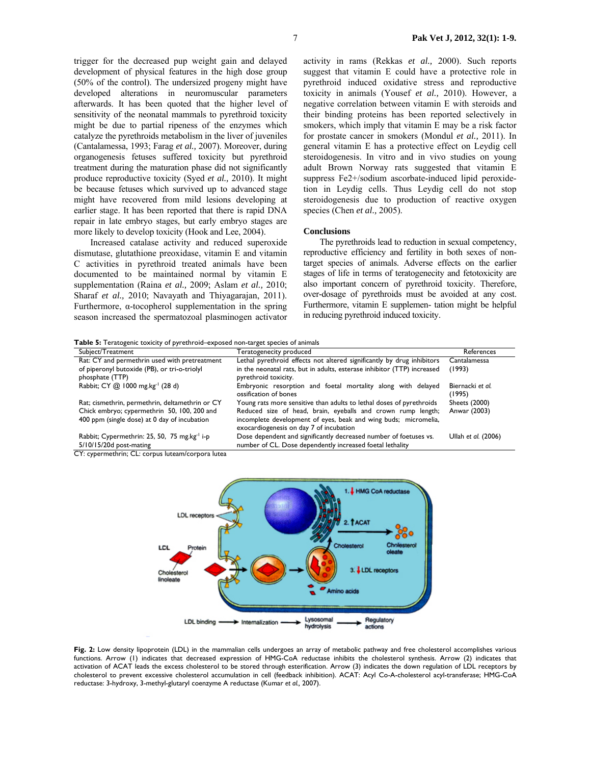trigger for the decreased pup weight gain and delayed development of physical features in the high dose group (50% of the control). The undersized progeny might have developed alterations in neuromuscular parameters afterwards. It has been quoted that the higher level of sensitivity of the neonatal mammals to pyrethroid toxicity might be due to partial ripeness of the enzymes which catalyze the pyrethroids metabolism in the liver of juveniles (Cantalamessa, 1993; Farag *et al.,* 2007). Moreover, during organogenesis fetuses suffered toxicity but pyrethroid treatment during the maturation phase did not significantly produce reproductive toxicity (Syed *et al.,* 2010). It might be because fetuses which survived up to advanced stage might have recovered from mild lesions developing at earlier stage. It has been reported that there is rapid DNA repair in late embryo stages, but early embryo stages are more likely to develop toxicity (Hook and Lee, 2004).

 Increased catalase activity and reduced superoxide dismutase, glutathione preoxidase, vitamin E and vitamin C activities in pyrethroid treated animals have been documented to be maintained normal by vitamin E supplementation (Raina *et al.,* 2009; Aslam *et al.,* 2010; Sharaf *et al.,* 2010; Navayath and Thiyagarajan, 2011). Furthermore,  $\alpha$ -tocopherol supplementation in the spring season increased the spermatozoal plasminogen activator activity in rams (Rekkas *et al.,* 2000). Such reports suggest that vitamin E could have a protective role in pyrethroid induced oxidative stress and reproductive toxicity in animals (Yousef *et al.,* 2010). However, a negative correlation between vitamin E with steroids and their binding proteins has been reported selectively in smokers, which imply that vitamin E may be a risk factor for prostate cancer in smokers (Mondul *et al.,* 2011). In general vitamin E has a protective effect on Leydig cell steroidogenesis. In vitro and in vivo studies on young adult Brown Norway rats suggested that vitamin E suppress Fe2+/sodium ascorbate-induced lipid peroxidetion in Leydig cells. Thus Leydig cell do not stop steroidogenesis due to production of reactive oxygen species (Chen *et al.,* 2005).

#### **Conclusions**

 The pyrethroids lead to reduction in sexual competency, reproductive efficiency and fertility in both sexes of nontarget species of animals. Adverse effects on the earlier stages of life in terms of teratogenecity and fetotoxicity are also important concern of pyrethroid toxicity. Therefore, over-dosage of pyrethroids must be avoided at any cost. Furthermore, vitamin E supplemen- tation might be helpful in reducing pyrethroid induced toxicity.

**Table 5:** Teratogenic toxicity of pyrethroid–exposed non-target species of animals

| Subject/Treatment                                                                               | Teratogenecity produced                                                                                    | References                 |
|-------------------------------------------------------------------------------------------------|------------------------------------------------------------------------------------------------------------|----------------------------|
| Rat: CY and permethrin used with pretreatment                                                   | Lethal pyrethroid effects not altered significantly by drug inhibitors                                     | Cantalamessa               |
| of piperonyl butoxide (PB), or tri-o-triolyl                                                    | in the neonatal rats, but in adults, esterase inhibitor (TTP) increased                                    | (1993)                     |
| phosphate (TTP)                                                                                 | pyrethroid toxicity.                                                                                       |                            |
| Rabbit; CY @ 1000 mg.kg <sup>-1</sup> (28 d)                                                    | Embryonic resorption and foetal mortality along with delayed<br>ossification of bones                      | Biernacki et al.<br>(1995) |
| Rat; cismethrin, permethrin, deltamethrin or CY                                                 | Young rats more sensitive than adults to lethal doses of pyrethroids                                       | <b>Sheets (2000)</b>       |
| Chick embryo; cypermethrin 50, 100, 200 and                                                     | Reduced size of head, brain, eyeballs and crown rump length;                                               | Anwar (2003)               |
| 400 ppm (single dose) at 0 day of incubation                                                    | incomplete development of eyes, beak and wing buds; micromelia,<br>exocardiogenesis on day 7 of incubation |                            |
| Rabbit; Cypermethrin: 25, 50, 75 mg.kg <sup>-1</sup> i-p                                        | Dose dependent and significantly decreased number of foetuses vs.                                          | Ullah et al. (2006)        |
| $5/10/15/20d$ post-mating                                                                       | number of CL. Dose dependently increased foetal lethality                                                  |                            |
| $\sim$ $\sim$ and a sum adjactive $\sim$ $\sim$ and a summarization of $\sim$ and $\sim$ $\sim$ |                                                                                                            |                            |

CY: cypermethrin; CL: corpus luteam/corpora lutea



Fig. 2: Low density lipoprotein (LDL) in the mammalian cells undergoes an array of metabolic pathway and free cholesterol accomplishes various functions. Arrow (1) indicates that decreased expression of HMG-CoA reductase inhibits the cholesterol synthesis. Arrow (2) indicates that activation of ACAT leads the excess cholesterol to be stored through esterification. Arrow (3) indicates the down regulation of LDL receptors by cholesterol to prevent excessive cholesterol accumulation in cell (feedback inhibition). ACAT: Acyl Co-A-cholesterol acyl-transferase; HMG-CoA reductase: 3-hydroxy, 3-methyl-glutaryl coenzyme A reductase (Kumar *et al.,* 2007).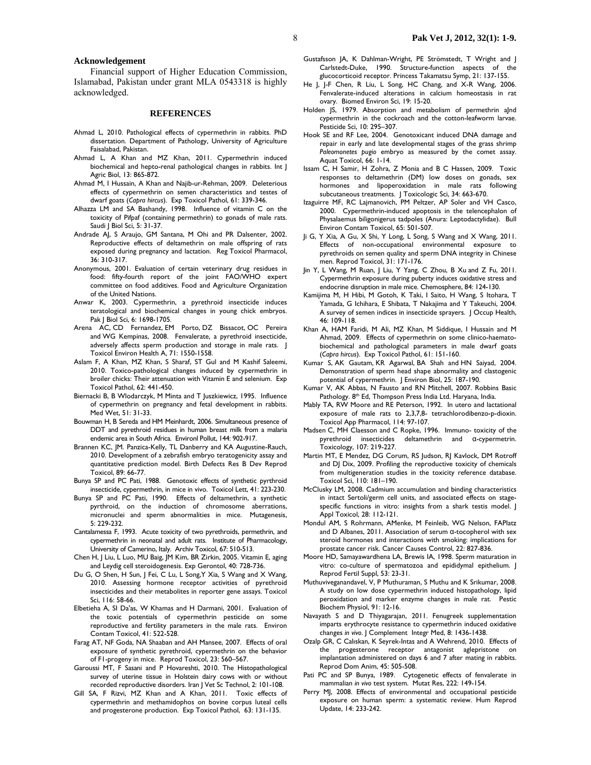#### **Acknowledgement**

 Financial support of Higher Education Commission, Islamabad, Pakistan under grant MLA 0543318 is highly acknowledged.

### **REFERENCES**

- Ahmad L, 2010. Pathological effects of cypermethrin in rabbits. PhD dissertation. Department of Pathology, University of Agriculture Faisalabad, Pakistan.
- Ahmad L, A Khan and MZ Khan, 2011. Cypermethrin induced biochemical and hepto-renal pathological changes in rabbits. Int | Agric Biol, 13: 865-872.
- Ahmad M, I Hussain, A Khan and Najib-ur-Rehman, 2009. Deleterious effects of cypermethrin on semen characteristics and testes of dwarf goats (*Capra hircus*). Exp Toxicol Pathol, 61: 339-346.
- Alhazza LM and SA Bashandy, 1998. Influence of vitamin C on the toxicity of Pifpaf (containing permethrin) to gonads of male rats. Saudi J Biol Sci, 5: 31-37.
- Andrade AJ, S Araujo, GM Santana, M Ohi and PR Dalsenter, 2002. Reproductive effects of deltamethrin on male offspring of rats exposed during pregnancy and lactation. Reg Toxicol Pharmacol, 36: 310-317.
- Anonymous, 2001. Evaluation of certain veterinary drug residues in food: fifty-fourth report of the joint FAO/WHO expert committee on food additives. Food and Agriculture Organization of the United Nations.
- Anwar K, 2003. Cypermethrin, a pyrethroid insecticide induces teratological and biochemical changes in young chick embryos. Pak J Biol Sci, 6: 1698-1705.
- Arena AC, CD Fernandez, EM Porto, DZ Bissacot, OC Pereira and WG Kempinas, 2008. Fenvalerate, a pyrethroid insecticide, adversely affects sperm production and storage in male rats. | Toxicol Environ Health A, 71: 1550-1558.
- Aslam F, A Khan, MZ Khan, S Sharaf, ST Gul and M Kashif Saleemi, 2010. Toxico-pathological changes induced by cypermethrin in broiler chicks: Their attenuation with Vitamin E and selenium. Exp Toxicol Pathol, 62: 441-450.
- Biernacki B, B Wlodarczyk, M Minta and T Juszkiewicz, 1995. Influence of cypermethrin on pregnancy and fetal development in rabbits. Med Wet, 51: 31-33.
- Bouwman H, B Sereda and HM Meinhardt, 2006. Simultaneous presence of DDT and pyrethroid residues in human breast milk from a malaria endemic area in South Africa. Environl Pollut, 144: 902-917.
- Brannen KC, JM. Panzica-Kelly, TL Danberry and KA Augustine-Rauch, 2010. Development of a zebrafish embryo teratogenicity assay and quantitative prediction model. Birth Defects Res B Dev Reprod Toxicol, 89: 66-77.
- Bunya SP and PC Pati, 1988. Genotoxic effects of synthetic pyrthroid insecticide, cypermethrin, in mice in vivo. Toxicol Lett, 41: 223-230.
- Bunya SP and PC Pati, 1990. Effects of deltamethrin, a synthetic pyrthroid, on the induction of chromosome aberrations, micronuclei and sperm abnormalities in mice. Mutagenesis, 5: 229-232.
- Cantalamessa F, 1993. Acute toxicity of two pyrethroids, permethrin, and cypermethrin in neonatal and adult rats. Institute of Pharmacology, University of Camerino, Italy. Archiv Toxicol, 67: 510-513.
- Chen H, J Liu, L Luo, MU Baig, JM Kim, BR Zirkin, 2005. Vitamin E, aging and Leydig cell steroidogenesis. Exp Gerontol, 40: 728-736.
- Du G, O Shen, H Sun, J Fei, C Lu, L Song,Y Xia, S Wang and X Wang, 2010. Assessing hormone receptor activities of pyrethroid insecticides and their metabolites in reporter gene assays. Toxicol Sci, 116: 58-66.
- Elbetieha A, SI Da'as, W Khamas and H Darmani, 2001. Evaluation of the toxic potentials of cypermethrin pesticide on some reproductive and fertility parameters in the male rats. Environ Contam Toxicol, 41: 522-528.
- Farag AT, NF Goda, NA Shaaban and AH Mansee, 2007. Effects of oral exposure of synthetic pyrethroid, cypermethrin on the behavior of F1-progeny in mice. Reprod Toxicol, 23: 560–567.
- Garoussi MT, F Sasani and P Hovareshti, 2010. The Histopathological survey of uterine tissue in Holstein dairy cows with or without recorded reproductive disorders. Iran J Vet Sc Technol, 2: 101-108.
- Gill SA, F Rizvi, MZ Khan and A Khan, 2011. Toxic effects of cypermethrin and methamidophos on bovine corpus luteal cells and progesterone production. Exp Toxicol Pathol, 63: 131-135.
- Gustafsson JA, K Dahlman-Wright, PE Strömstedt, T Wright and J Carlstedt-Duke, 1990. Structure-function aspects of the glucocorticoid receptor. Princess Takamatsu Symp, 21: 137-155.
- He J, J-F Chen, R Liu, L Song, HC Chang, and X-R Wang, 2006. Fenvalerate-induced alterations in calcium homeostasis in rat ovary. Biomed Environ Sci, 19: 15-20.
- Holden JS, 1979. Absorption and metabolism of permethrin alnd cypermethrin in the cockroach and the cotton-leafworm larvae. Pesticide Sci, 10: 295–307.
- Hook SE and RF Lee, 2004. Genotoxicant induced DNA damage and repair in early and late developmental stages of the grass shrimp *Paleomonetes pugio* embryo as measured by the comet assay. Aquat Toxicol, 66: 1-14.
- Issam C, H Samir, H Zohra, Z Monia and B C Hassen, 2009. Toxic responses to deltamethrin (DM) low doses on gonads, sex hormones and lipoperoxidation in male rats following subcutaneous treatments. | Toxicologic Sci, 34: 663-670.
- Izaguirre MF, RC Lajmanovich, PM Peltzer, AP Soler and VH Casco, 2000. Cypermethrin-induced apoptosis in the telencephalon of Physalaemus biligonigerus tadpoles (Anura: Leptodactylidae). Bull Environ Contam Toxicol, 65: 501-507.
- Ji G, Y Xia, A Gu, X Shi, Y Long, L Song, S Wang and X Wang, 2011. Effects of non-occupational environmental exposure to pyrethroids on semen quality and sperm DNA integrity in Chinese men. Reprod Toxicol, 31: 171-176.
- Jin Y, L Wang, M Ruan, J Liu, Y Yang, C Zhou, B Xu and Z Fu, 2011. Cypermethrin exposure during puberty induces oxidative stress and endocrine disruption in male mice. Chemosphere, 84: 124-130.
- Kamijima M, H Hibi, M Gotoh, K Taki, I Saito, H Wang, S Itohara, T Yamada, G Ichihara, E Shibata, T Nakajima and Y Takeuchi, 2004. A survey of semen indices in insecticide sprayers. J Occup Health, 46: 109-118.
- Khan A, HAM Faridi, M Ali, MZ Khan, M Siddique, I Hussain and M Ahmad, 2009. Effects of cypermethrin on some clinico-haematobiochemical and pathological parameters in male dwarf goats (*Capra hircus*). Exp Toxicol Pathol, 61: 151-160.
- Kumar S, AK Gautam, KR Agarwal, BA Shah and HN Saiyad, 2004. Demonstration of sperm head shape abnormality and clastogenic potential of cypermethrin. J Environ Biol, 25: 187-190.
- Kumar V, AK Abbas, N Fausto and RN Mitchell, 2007. Robbins Basic Pathology. 8<sup>th</sup> Ed, Thompson Press India Ltd. Haryana, India.
- Mably TA, RW Moore and RE Peterson, 1992. In utero and lactational exposure of male rats to 2,3,7,8- tetrachlorodibenzo-p-dioxin. Toxicol App Pharmacol, 114: 97-107.
- Madsen C, MH Claesson and C Ropke, 1996. Immuno- toxicity of the pyrethroid insecticides deltamethrin and  $\alpha$ -cypermetrin. deltamethrin and α-cypermetrin. Toxicology, 107: 219-227.
- Martin MT, E Mendez, DG Corum, RS Judson, RJ Kavlock, DM Rotroff and DJ Dix, 2009. Profiling the reproductive toxicity of chemicals from multigeneration studies in the toxicity reference database. Toxicol Sci, 110: 181–190.
- McClusky LM, 2008. Cadmium accumulation and binding characteristics in intact Sertoli/germ cell units, and associated effects on stagespecific functions in vitro: insights from a shark testis model. J Appl Toxicol, 28: 112-121.
- Mondul AM, S Rohrmann, AMenke, M Feinleib, WG Nelson, FAPlatz and D Albanes, 2011. Association of serum α-tocopherol with sex steroid hormones and interactions with smoking: implications for prostate cancer risk. Cancer Causes Control, 22: 827-836.
- Moore HD, Samayawardhena LA, Brewis IA, 1998. Sperm maturation in vitro: co-culture of spermatozoa and epididymal epithelium. J Reprod Fertil Suppl, 53: 23-31.
- Muthuviveganandavel, V, P Muthuraman, S Muthu and K Srikumar, 2008. A study on low dose cypermethrin induced histopathology, lipid peroxidation and marker enzyme changes in male rat. Pestic Biochem Physiol, 91: 12-16.
- Navayath S and D Thiyagarajan, 2011. Fenugreek supplementation imparts erythrocyte resistance to cypermethrin induced oxidative changes *in vivo*. J Complement Integr Med, 8: 1436-1438.
- Ozalp GR, C Calıskan, K Seyrek-Intas and A Wehrend, 2010. Effects of the progesterone receptor antagonist aglepristone on implantation administered on days 6 and 7 after mating in rabbits. Reprod Dom Anim, 45: 505-508.
- Pati PC and SP Bunya, 1989. Cytogenetic effects of fenvalerate in mammalian *in vivo* test system. Mutat Res, 222: 149-154.
- Perry MJ, 2008. Effects of environmental and occupational pesticide exposure on human sperm: a systematic review. Hum Reprod Update, 14: 233-242.